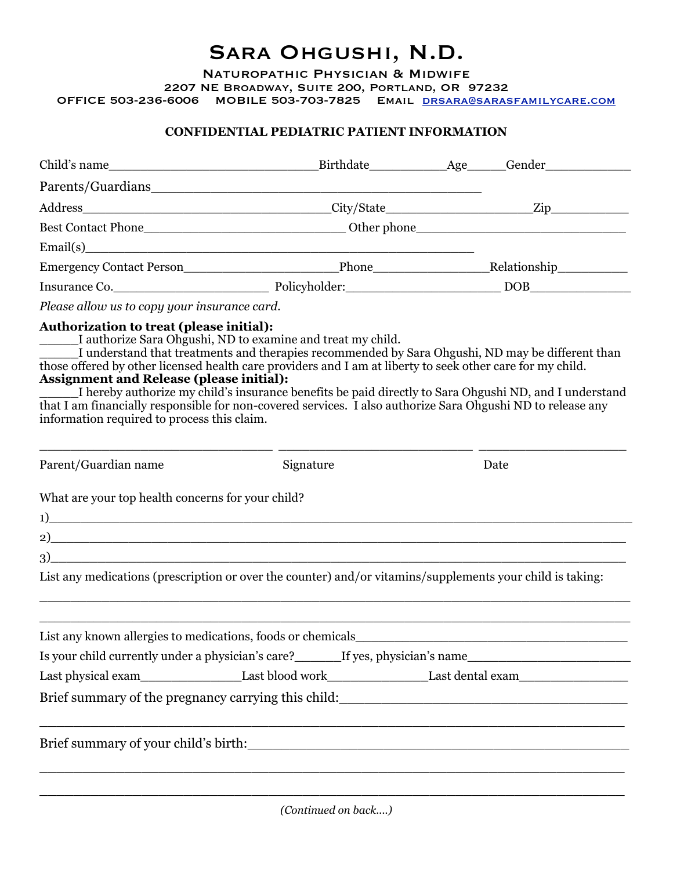# Sara Ohgushi, N.D.

Naturopathic Physician & Midwife

2207 NE Broadway, Suite 200, Portland, OR 97232

OFFICE 503-236-6006 MOBILE 503-703-7825 Email [drsara@sarasfamilycare.com](mailto:drsara@sarasfamilycare.com)

#### **CONFIDENTIAL PEDIATRIC PATIENT INFORMATION**

|                                                                                                |                                                                                                                                                                                                                                                                                          | Child's name Letter and Letter and Letter and Letter and Letter and Letter and Letter and Letter and Letter and Letter and Letter and Letter and Letter and Letter and Letter and Letter and Letter and Letter and Letter and |
|------------------------------------------------------------------------------------------------|------------------------------------------------------------------------------------------------------------------------------------------------------------------------------------------------------------------------------------------------------------------------------------------|-------------------------------------------------------------------------------------------------------------------------------------------------------------------------------------------------------------------------------|
|                                                                                                |                                                                                                                                                                                                                                                                                          |                                                                                                                                                                                                                               |
|                                                                                                |                                                                                                                                                                                                                                                                                          |                                                                                                                                                                                                                               |
|                                                                                                |                                                                                                                                                                                                                                                                                          |                                                                                                                                                                                                                               |
| Email(s)                                                                                       |                                                                                                                                                                                                                                                                                          |                                                                                                                                                                                                                               |
|                                                                                                |                                                                                                                                                                                                                                                                                          |                                                                                                                                                                                                                               |
|                                                                                                |                                                                                                                                                                                                                                                                                          | Insurance Co. Policyholder: DOB                                                                                                                                                                                               |
| Please allow us to copy your insurance card.                                                   |                                                                                                                                                                                                                                                                                          |                                                                                                                                                                                                                               |
| <b>Assignment and Release (please initial):</b><br>information required to process this claim. | I authorize Sara Ohgushi, ND to examine and treat my child.<br>those offered by other licensed health care providers and I am at liberty to seek other care for my child.<br>that I am financially responsible for non-covered services. I also authorize Sara Ohgushi ND to release any | I understand that treatments and therapies recommended by Sara Ohgushi, ND may be different than<br>I hereby authorize my child's insurance benefits be paid directly to Sara Ohgushi ND, and I understand                    |
| Parent/Guardian name                                                                           | Signature                                                                                                                                                                                                                                                                                | Date                                                                                                                                                                                                                          |
| What are your top health concerns for your child?                                              |                                                                                                                                                                                                                                                                                          |                                                                                                                                                                                                                               |
| $\left( \begin{array}{ccc} 1 \end{array} \right)$                                              |                                                                                                                                                                                                                                                                                          |                                                                                                                                                                                                                               |
| $\sim$ 2)                                                                                      |                                                                                                                                                                                                                                                                                          |                                                                                                                                                                                                                               |
| $\sim$ 3)                                                                                      |                                                                                                                                                                                                                                                                                          |                                                                                                                                                                                                                               |
|                                                                                                | List any medications (prescription or over the counter) and/or vitamins/supplements your child is taking:                                                                                                                                                                                |                                                                                                                                                                                                                               |
|                                                                                                |                                                                                                                                                                                                                                                                                          |                                                                                                                                                                                                                               |
|                                                                                                |                                                                                                                                                                                                                                                                                          | Is your child currently under a physician's care?________If yes, physician's name_____________________________                                                                                                                |
|                                                                                                |                                                                                                                                                                                                                                                                                          |                                                                                                                                                                                                                               |
|                                                                                                |                                                                                                                                                                                                                                                                                          |                                                                                                                                                                                                                               |
|                                                                                                | <u> 1999 - Jan James James James James James James James James James James James James James James James James J</u>                                                                                                                                                                     |                                                                                                                                                                                                                               |
|                                                                                                |                                                                                                                                                                                                                                                                                          |                                                                                                                                                                                                                               |

*(Continued on back....)*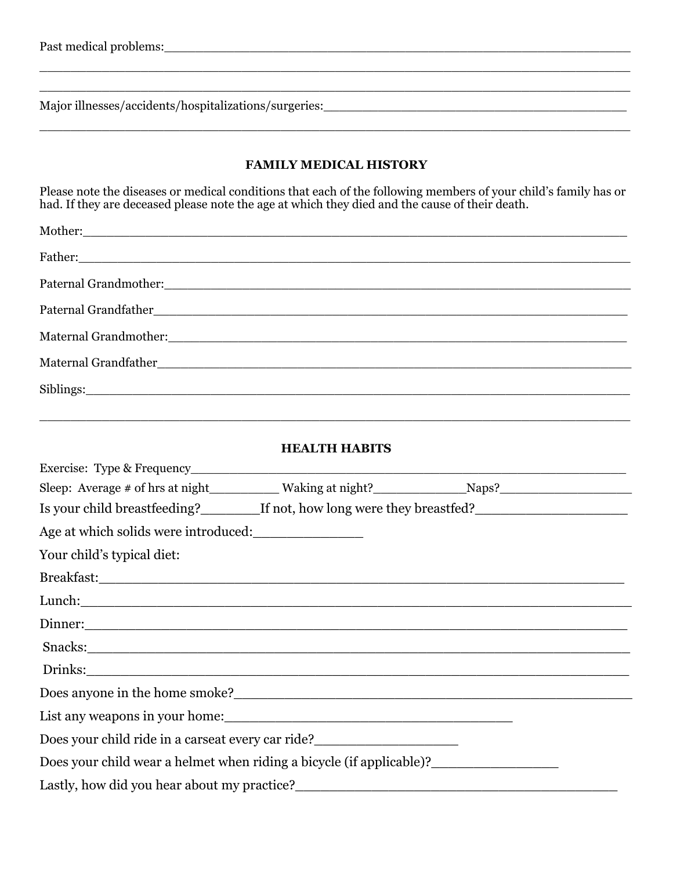Major illnesses/accidents/hospitalizations/surgeries:\_\_\_\_\_\_\_\_\_\_\_\_\_\_\_\_\_\_\_\_\_\_\_\_\_\_\_

#### **FAMILY MEDICAL HISTORY**

\_\_\_\_\_\_\_\_\_\_\_\_\_\_\_\_\_\_\_\_\_\_\_\_\_\_\_\_\_\_\_\_\_\_\_\_\_\_\_\_\_\_\_\_\_\_\_\_\_\_\_\_\_\_\_\_\_\_\_\_\_\_\_\_\_\_\_\_\_\_\_\_\_\_\_\_

\_\_\_\_\_\_\_\_\_\_\_\_\_\_\_\_\_\_\_\_\_\_\_\_\_\_\_\_\_\_\_\_\_\_\_\_\_\_\_\_\_\_\_\_\_\_\_\_\_\_\_\_\_\_\_\_\_\_\_\_\_\_\_\_\_\_\_\_\_\_\_\_\_\_\_\_ \_\_\_\_\_\_\_\_\_\_\_\_\_\_\_\_\_\_\_\_\_\_\_\_\_\_\_\_\_\_\_\_\_\_\_\_\_\_\_\_\_\_\_\_\_\_\_\_\_\_\_\_\_\_\_\_\_\_\_\_\_\_\_\_\_\_\_\_\_\_\_\_\_\_\_\_

Please note the diseases or medical conditions that each of the following members of your child's family has or had. If they are deceased please note the age at which they died and the cause of their death.

| Mother: Notice and the second contract of the second contract of the second contract of the second contract of the second contract of the second contract of the second contract of the second contract of the second contract |
|--------------------------------------------------------------------------------------------------------------------------------------------------------------------------------------------------------------------------------|
|                                                                                                                                                                                                                                |
|                                                                                                                                                                                                                                |
|                                                                                                                                                                                                                                |
|                                                                                                                                                                                                                                |
|                                                                                                                                                                                                                                |
|                                                                                                                                                                                                                                |
|                                                                                                                                                                                                                                |

#### **HEALTH HABITS**

\_\_\_\_\_\_\_\_\_\_\_\_\_\_\_\_\_\_\_\_\_\_\_\_\_\_\_\_\_\_\_\_\_\_\_\_\_\_\_\_\_\_\_\_\_\_\_\_\_\_\_\_\_\_\_\_\_\_\_\_\_\_\_\_\_\_\_\_\_\_\_\_\_\_\_\_

| Sleep: Average # of hrs at night__________ Waking at night?______________Naps?________________________________                                                                                                                        |
|---------------------------------------------------------------------------------------------------------------------------------------------------------------------------------------------------------------------------------------|
| Is your child breastfeeding?__________If not, how long were they breastfed?_________________________                                                                                                                                  |
| Age at which solids were introduced:                                                                                                                                                                                                  |
| Your child's typical diet:                                                                                                                                                                                                            |
|                                                                                                                                                                                                                                       |
| Lunch: <u>and the contract of the contract of the contract of the contract of the contract of the contract of the contract of the contract of the contract of the contract of the contract of the contract of the contract of th</u>  |
|                                                                                                                                                                                                                                       |
|                                                                                                                                                                                                                                       |
|                                                                                                                                                                                                                                       |
| Does anyone in the home smoke?                                                                                                                                                                                                        |
|                                                                                                                                                                                                                                       |
| Does your child ride in a carseat every car ride?<br><u>Letting and the summannial ride</u> of the summannial ride of the summannial ride of the summannial ride of the summannial ride of the summannial ride of the summannial ride |
| Does your child wear a helmet when riding a bicycle (if applicable)?                                                                                                                                                                  |
|                                                                                                                                                                                                                                       |